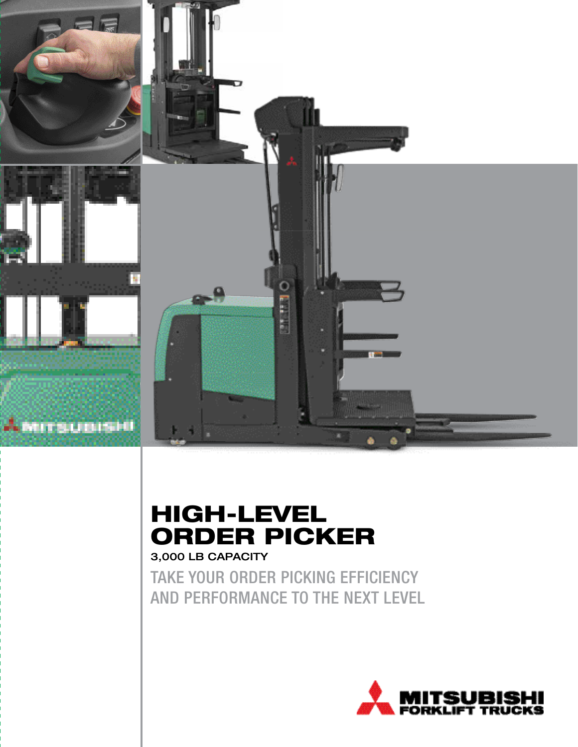

### HIGH-LEVEL ORDER PICKER 3,000 LB CAPACITY

TAKE YOUR ORDER PICKING EFFICIENCY AND PERFORMANCE TO THE NEXT LEVEL

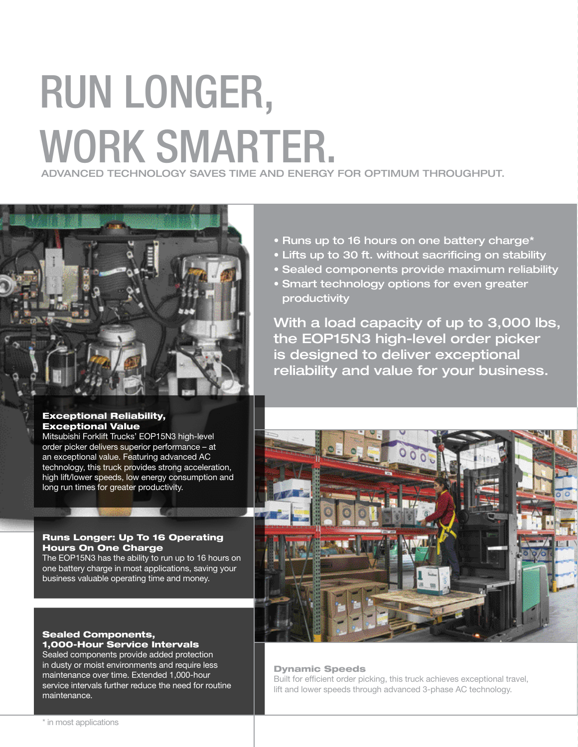## RUN LONGER, WORK SMARTER. ADVANCED TECHNOLOGY SAVES TIME AND ENERGY FOR OPTIMUM THROUGHPUT.



#### Exceptional Reliability, Exceptional Value

Mitsubishi Forklift Trucks' EOP15N3 high-level order picker delivers superior performance – at an exceptional value. Featuring advanced AC technology, this truck provides strong acceleration, high lift/lower speeds, low energy consumption and long run times for greater productivity.

#### Runs Longer: Up To 16 Operating Hours On One Charge

The EOP15N3 has the ability to run up to 16 hours on one battery charge in most applications, saving your business valuable operating time and money.

#### Sealed Components, 1,000-Hour Service Intervals

Sealed components provide added protection in dusty or moist environments and require less maintenance over time. Extended 1,000-hour service intervals further reduce the need for routine maintenance.

- Runs up to 16 hours on one battery charge\*
- Lifts up to 30 ft. without sacrificing on stability
- Sealed components provide maximum reliability
- Smart technology options for even greater productivity

With a load capacity of up to 3,000 lbs, the EOP15N3 high-level order picker is designed to deliver exceptional reliability and value for your business.



#### Dynamic Speeds

Built for efficient order picking, this truck achieves exceptional travel, lift and lower speeds through advanced 3-phase AC technology.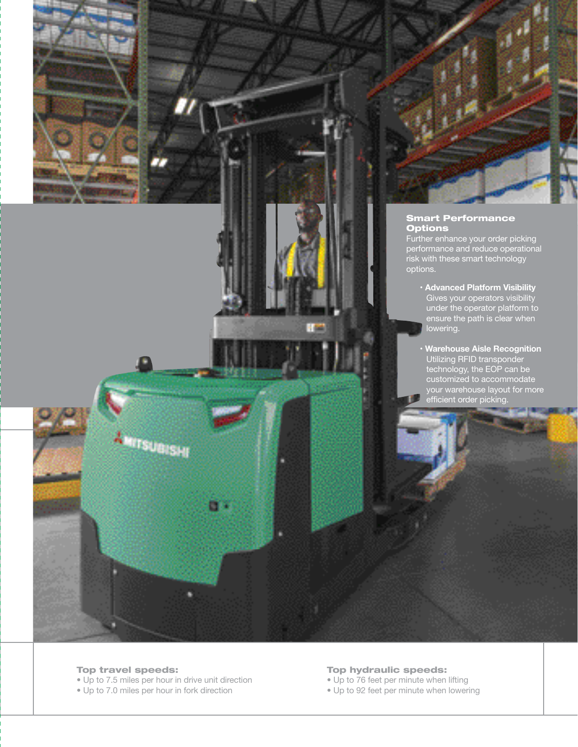



#### Smart Performance **Options**

Further enhance your order picking performance and reduce operational risk with these smart technology options.

- **Advanced Platform Visibility**  Gives your operators visibility under the operator platform to ensure the path is clear when lowering.
- **Warehouse Aisle Recognition**  Utilizing RFID transponder technology, the EOP can be customized to accommodate your warehouse layout for more efficient order picking.

#### Top travel speeds:

• Up to 7.5 miles per hour in drive unit direction

• Up to 7.0 miles per hour in fork direction

**Mrsuers.** 

۳œ

#### Top hydraulic speeds:

- Up to 76 feet per minute when lifting
- Up to 92 feet per minute when lowering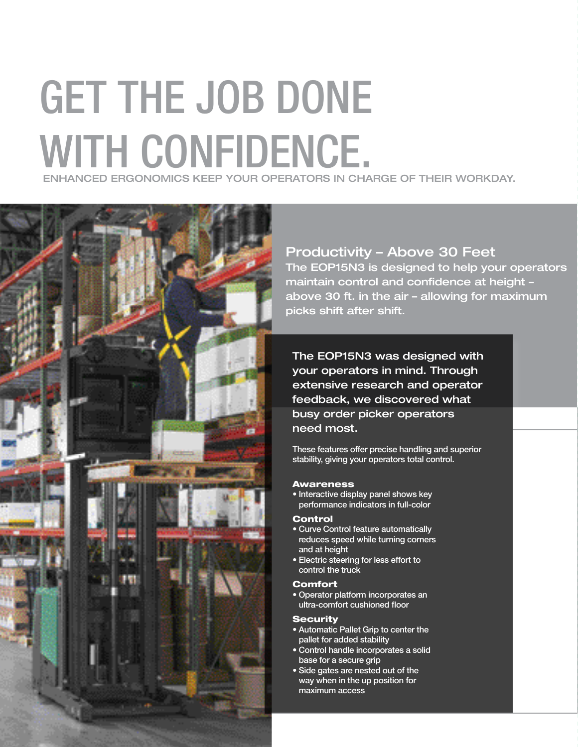## GET THE JOB DONE WITH CONFIDENCE. ENHANCED ERGONOMICS KEEP YOUR OPERATORS IN CHARGE OF THEIR WORKDAY.



#### Productivity – Above 30 Feet

The EOP15N3 is designed to help your operators maintain control and confidence at height – above 30 ft. in the air – allowing for maximum picks shift after shift.

The EOP15N3 was designed with your operators in mind. Through extensive research and operator feedback, we discovered what busy order picker operators need most.

These features offer precise handling and superior stability, giving your operators total control.

#### Awareness

• Interactive display panel shows key performance indicators in full-color

#### Control

- Curve Control feature automatically reduces speed while turning corners and at height
- Electric steering for less effort to control the truck

#### **Comfort**

• Operator platform incorporates an ultra-comfort cushioned floor

#### **Security**

- Automatic Pallet Grip to center the pallet for added stability
- Control handle incorporates a solid base for a secure grip
- Side gates are nested out of the way when in the up position for maximum access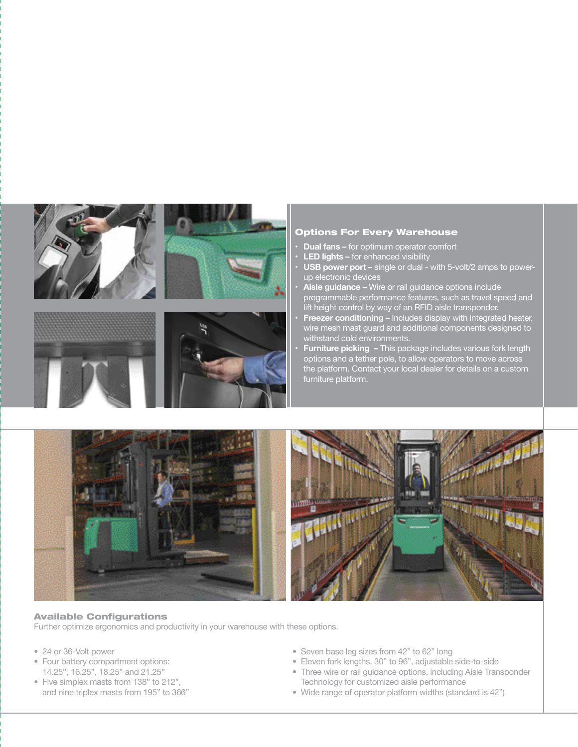

#### Options For Every Warehouse

- **• Dual fans –** for optimum operator comfort
- **• LED lights –** for enhanced visibility
- **• USB power port –** single or dual with 5-volt/2 amps to powerup electronic devices
- **• Aisle guidance –** Wire or rail guidance options include programmable performance features, such as travel speed and lift height control by way of an RFID aisle transponder.
- **• Freezer conditioning –** Includes display with integrated heater, wire mesh mast guard and additional components designed to withstand cold environments.
- **• Furniture picking –** This package includes various fork length options and a tether pole, to allow operators to move across the platform. Contact your local dealer for details on a custom furniture platform.



#### Available Configurations

Further optimize ergonomics and productivity in your warehouse with these options.

- 24 or 36-Volt power
- Four battery compartment options: 14.25", 16.25", 18.25" and 21.25"
- Five simplex masts from 138" to 212", and nine triplex masts from 195" to 366"
- Seven base leg sizes from 42" to 62" long
- Eleven fork lengths, 30" to 96", adjustable side-to-side
- Three wire or rail guidance options, including Aisle Transponder Technology for customized aisle performance
- Wide range of operator platform widths (standard is 42")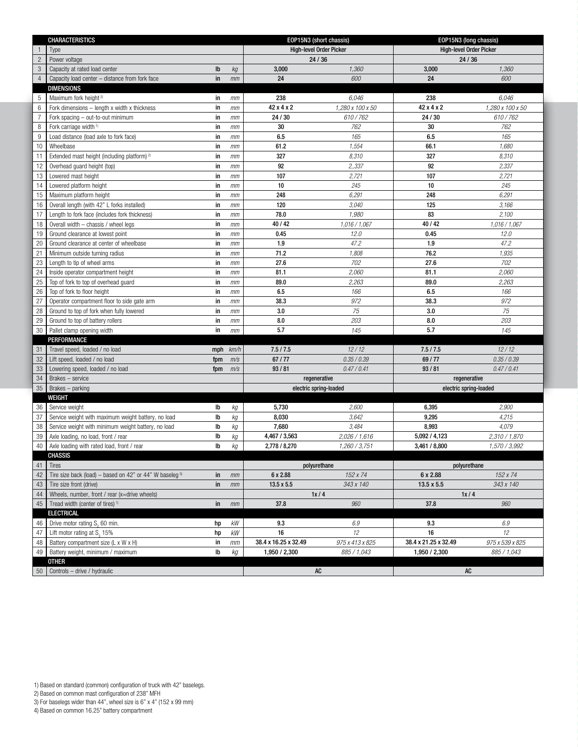|                | <b>CHARACTERISTICS</b>                                    |     |               | EOP15N3 (short chassis)                |                  | EOP15N3 (long chassis)         |                  |
|----------------|-----------------------------------------------------------|-----|---------------|----------------------------------------|------------------|--------------------------------|------------------|
|                | Type                                                      |     |               | <b>High-level Order Picker</b>         |                  | <b>High-level Order Picker</b> |                  |
| $\overline{c}$ | Power voltage                                             |     |               | 24/36                                  |                  | 24/36                          |                  |
| $\sqrt{3}$     | Capacity at rated load center                             | Ib  | kg            | 3,000                                  | 1,360            | 3,000                          | 1,360            |
| $\overline{4}$ | Capacity load center - distance from fork face            | in  | mm            | 24                                     | 600              | 24                             | 600              |
|                | <b>DIMENSIONS</b>                                         |     |               |                                        |                  |                                |                  |
| 5              | Maximum fork height <sup>2)</sup>                         | in  | mm            | 238                                    | 6.046            | 238                            | 6,046            |
| 6              | Fork dimensions - length x width x thickness              | in  | mm            | 42 x 4 x 2                             | 1,280 x 100 x 50 | 42 x 4 x 2                     | 1,280 x 100 x 50 |
| $\overline{7}$ | Fork spacing - out-to-out minimum                         | in  | mm            | 24 / 30                                | 610/762          | 24/30                          | 610/762          |
| 8              | Fork carriage width <sup>1)</sup>                         | in  | mm            | 30                                     | 762              | 30                             | 762              |
| 9              | Load distance (load axle to fork face)                    | in  | mm            | 6.5                                    | 165              | 6.5                            | 165              |
| 10             | Wheelbase                                                 | in  | mm            | 61.2                                   | 1,554            | 66.1                           | 1,680            |
| 11             | Extended mast height (including platform) <sup>2)</sup>   | in  | mm            | 327                                    | 8,310            | 327                            | 8,310            |
| 12             | Overhead quard height (top)                               | in  | mm            | 92                                     | 2,,337           | 92                             | 2,337            |
| 13             | Lowered mast height                                       | in  | mm            | 107                                    | 2,721            | 107                            | 2,721            |
| 14             | Lowered platform height                                   | in  | mm            | 10                                     | 245              | 10                             | 245              |
| 15             | Maximum platform height                                   | in  | mm            | 248                                    | 6,291            | 248                            | 6,291            |
| 16             | Overall length (with 42" L forks installed)               | in  | mm            | 120                                    | 3,040            | 125                            | 3,166            |
| 17             | Length to fork face (includes fork thickness)             | in  | mm            | 78.0                                   | 1,980            | 83                             | 2,100            |
| 18             | Overall width - chassis / wheel legs                      | in  | mm            | 40 / 42                                | 1,016 / 1,067    | 40 / 42                        | 1,016 / 1,067    |
| 19             | Ground clearance at lowest point                          | in  | mm            | 0.45                                   | 12.0             | 0.45                           | 12.0             |
| 20             | Ground clearance at center of wheelbase                   | in  | mm            | 1.9                                    | 47.2             | 1.9                            | 47.2             |
| 21             | Minimum outside turning radius                            | in  | mm            | 71.2                                   | 1,808            | 76.2                           | 1,935            |
| 23             | Length to tip of wheel arms                               | in  | mm            | 27.6                                   | 702              | 27.6                           | 702              |
| 24             | Inside operator compartment height                        | in  | mm            | 81.1                                   | 2,060            | 81.1                           | 2,060            |
| 25             | Top of fork to top of overhead guard                      | in  | mm            | 89.0                                   | 2,263            | 89.0                           | 2,263            |
| 26             | Top of fork to floor height                               | in  | mm            | 6.5                                    | 166              | 6.5                            | 166              |
| 27             | Operator compartment floor to side gate arm               | in  | mm            | 38.3                                   | 972              | 38.3                           | 972              |
| 28             | Ground to top of fork when fully lowered                  | in  | mm            | 3.0                                    | 75               | 3.0                            | 75               |
| 29             | Ground to top of battery rollers                          | in  | mm            | 8.0                                    | 203              | 8.0                            | 203              |
| 30             | Pallet clamp opening width                                | in  | mm            | 5.7                                    | 145              | 5.7                            | 145              |
|                | PERFORMANCE                                               |     |               |                                        |                  |                                |                  |
| 31             | Travel speed, loaded / no load                            | mph | km/h          | 7.5 / 7.5                              | 12/12            | 7.5/7.5                        | 12/12            |
| 32             | Lift speed, loaded / no load                              | fpm | m/s           | 67/77                                  | 0.35 / 0.39      | 69/77<br>93/81                 | 0.35 / 0.39      |
| 33             | Lowering speed, loaded / no load                          | fpm | m/s           | 93/81<br>0.47/0.41                     |                  | 0.47/0.41<br>regenerative      |                  |
| 34             | Brakes - service                                          |     |               | regenerative<br>electric spring-loaded |                  | electric spring-loaded         |                  |
| 35             | Brakes - parking                                          |     |               |                                        |                  |                                |                  |
| 36             | WEIGHT<br>Service weight                                  | Ib  | kg            | 5,730                                  | 2,600            | 6,395                          | 2,900            |
| 37             | Service weight with maximum weight battery, no load       | lb  | kg            | 8,030                                  | 3,642            | 9,295                          | 4,215            |
| 38             | Service weight with minimum weight battery, no load       | Ib  | kg            | 7,680                                  | 3,484            | 8,993                          | 4,079            |
| 39             | Axle loading, no load, front / rear                       | lb  | kg            | 4,467 / 3,563                          | 2,026 / 1,616    | 5,092/4,123                    | 2,310 / 1,870    |
| 40             | Axle loading with rated load, front / rear                | Ib  | kg            | 2,778 / 8,270                          | 1,260 / 3,751    | 3,461 / 8,800                  | 1,570 / 3,992    |
|                | CHASSIS                                                   |     |               |                                        |                  |                                |                  |
| 41             | Tires                                                     |     |               | polyurethane                           |                  | polyurethane                   |                  |
| 42             | Tire size back (load) – based on 42" or 44" W baseleg $3$ | in  | mm            | 6 x 2.88                               | 152 x 74         | 6 x 2.88                       | 152 x 74         |
| 43             | Tire size front (drive)                                   | in  | mm            | $13.5 \times 5.5$                      | 343 x 140        | 13.5 x 5.5                     | 343 x 140        |
| 44             | Wheels, number, front / rear (x=drive wheels)             |     |               | 1x/4                                   |                  | 1x/4                           |                  |
| 45             | Tread width (center of tires) <sup>1)</sup>               | in  | mm            | 37.8                                   | 960              | 37.8                           | 960              |
|                | <b>ELECTRICAL</b>                                         |     |               |                                        |                  |                                |                  |
| 46             | Drive motor rating S <sub>2</sub> 60 min.                 | hp  | kW            | 9.3                                    | 6.9              | 9.3                            | 6.9              |
| 47             | Lift motor rating at S <sub>2</sub> 15%                   | hp  | kW            | 16                                     | 12               | 16                             | 12               |
| 48             | Battery compartment size (L x W x H)                      | in  | mm            | 38.4 x 16.25 x 32.49                   | 975 x 413 x 825  | 38.4 x 21.25 x 32.49           | 975 x 539 x 825  |
| 49             | Battery weight, minimum / maximum                         | Ib  | kg            | 1,950 / 2,300                          | 885 / 1,043      | 1,950 / 2,300                  | 885 / 1,043      |
|                | <b>OTHER</b>                                              |     |               |                                        |                  |                                |                  |
|                | $50$ Controls – drive / hydraulic                         |     | $\mathsf{AC}$ |                                        | AC               |                                |                  |

1) Based on standard (common) configuration of truck with 42" baselegs.

2) Based on common mast configuration of 238" MFH

3) For baselegs wider than 44", wheel size is 6'' x 4" (152 x 99 mm)

<sup>4)</sup> Based on common 16.25" battery compartment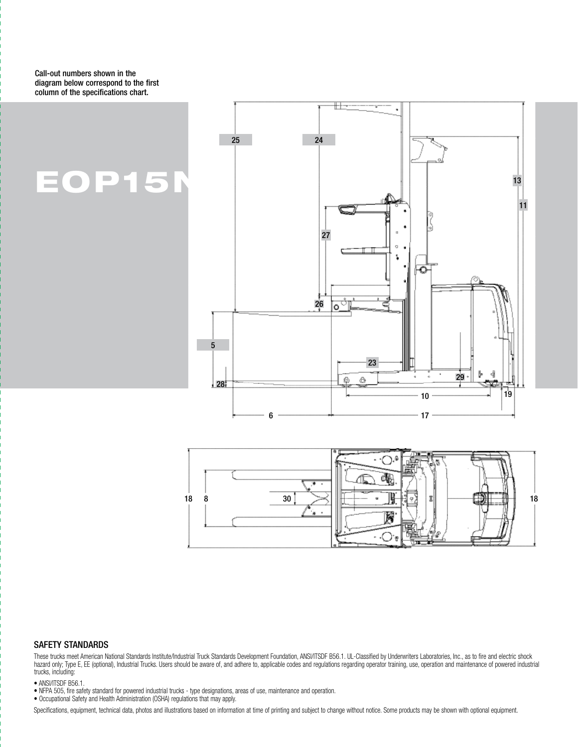Call-out numbers shown in the diagram below correspond to the first column of the specifications chart.

### EOP15N





#### SAFETY STANDARDS

These trucks meet American National Standards Institute/Industrial Truck Standards Development Foundation, ANSI/ITSDF B56.1. UL-Classified by Underwriters Laboratories, Inc., as to fire and electric shock hazard only; Type E, EE (optional), Industrial Trucks. Users should be aware of, and adhere to, applicable codes and regulations regarding operator training, use, operation and maintenance of powered industrial trucks, including:

• ANSI/ITSDF B56.1. • NFPA 505, fire safety standard for powered industrial trucks - type designations, areas of use, maintenance and operation.

• Occupational Safety and Health Administration (OSHA) regulations that may apply.

Specifications, equipment, technical data, photos and illustrations based on information at time of printing and subject to change without notice. Some products may be shown with optional equipment.